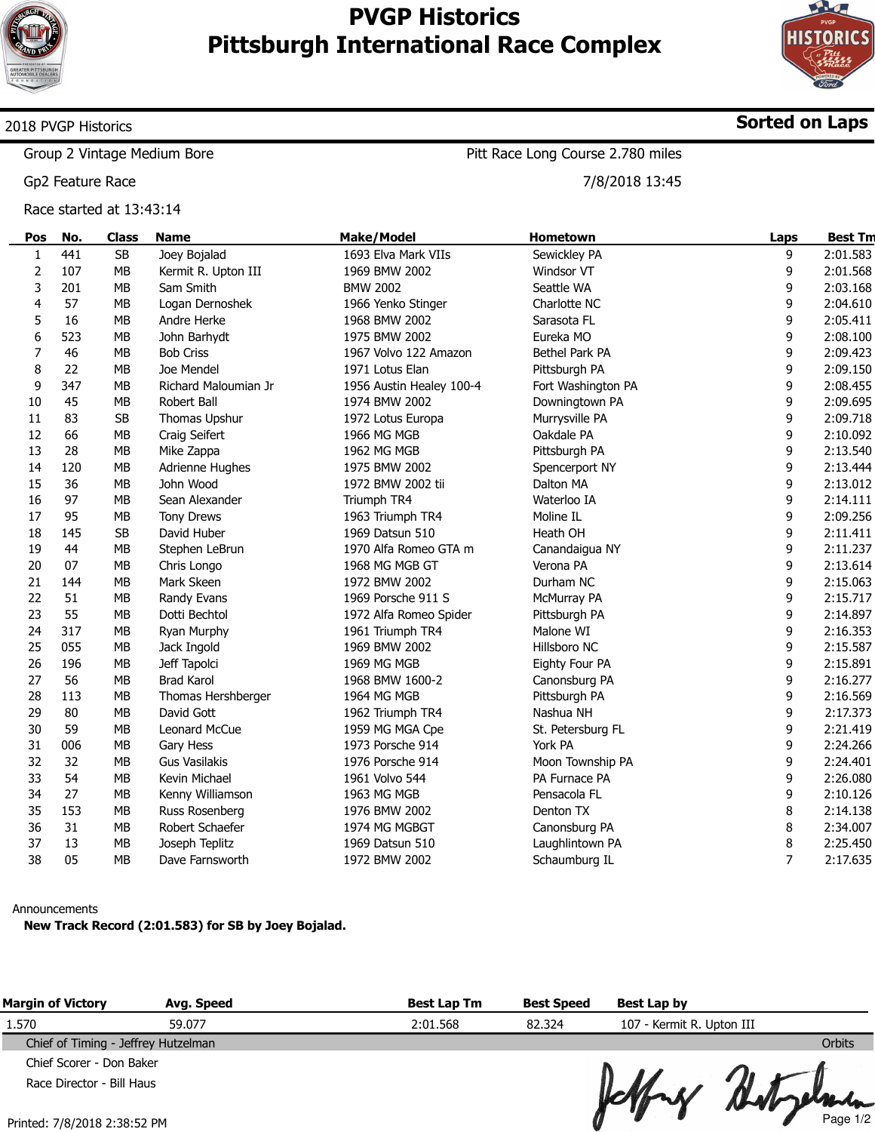

# **PVGP Historics Pittsburgh International Race Complex**



**Sorted on Laps**

## 2018 PVGP Historics

Group 2 Vintage Medium Bore

Gp2 Feature Race

Race started at 13:43:14

Pitt Race Long Course 2.780 miles

7/8/2018 13:45

| Pos                     | No. | <b>Class</b> | <b>Name</b>          | <b>Make/Model</b>        | <b>Hometown</b>    | Laps           | <b>Best Tm</b> |
|-------------------------|-----|--------------|----------------------|--------------------------|--------------------|----------------|----------------|
| 1                       | 441 | <b>SB</b>    | Joey Bojalad         | 1693 Elva Mark VIIs      | Sewickley PA       | 9              | 2:01.583       |
| $\overline{\mathbf{c}}$ | 107 | <b>MB</b>    | Kermit R. Upton III  | 1969 BMW 2002            | Windsor VT         | 9              | 2:01.568       |
| 3                       | 201 | MB           | Sam Smith            | <b>BMW 2002</b>          | Seattle WA         | 9              | 2:03.168       |
| 4                       | 57  | <b>MB</b>    | Logan Dernoshek      | 1966 Yenko Stinger       | Charlotte NC       | 9              | 2:04.610       |
| 5                       | 16  | <b>MB</b>    | Andre Herke          | 1968 BMW 2002            | Sarasota FL        | 9              | 2:05.411       |
| 6                       | 523 | <b>MB</b>    | John Barhydt         | 1975 BMW 2002            | Eureka MO          | 9              | 2:08.100       |
| 7                       | 46  | <b>MB</b>    | <b>Bob Criss</b>     | 1967 Volvo 122 Amazon    | Bethel Park PA     | 9              | 2:09.423       |
| 8                       | 22  | <b>MB</b>    | Joe Mendel           | 1971 Lotus Elan          | Pittsburgh PA      | 9              | 2:09.150       |
| 9                       | 347 | <b>MB</b>    | Richard Maloumian Jr | 1956 Austin Healey 100-4 | Fort Washington PA | 9              | 2:08.455       |
| 10                      | 45  | MB           | Robert Ball          | 1974 BMW 2002            | Downingtown PA     | 9              | 2:09.695       |
| 11                      | 83  | <b>SB</b>    | Thomas Upshur        | 1972 Lotus Europa        | Murrysville PA     | 9              | 2:09.718       |
| 12                      | 66  | <b>MB</b>    | Craig Seifert        | 1966 MG MGB              | Oakdale PA         | 9              | 2:10.092       |
| 13                      | 28  | MB           | Mike Zappa           | 1962 MG MGB              | Pittsburgh PA      | 9              | 2:13.540       |
| 14                      | 120 | MB           | Adrienne Hughes      | 1975 BMW 2002            | Spencerport NY     | 9              | 2:13.444       |
| 15                      | 36  | <b>MB</b>    | John Wood            | 1972 BMW 2002 tii        | Dalton MA          | 9              | 2:13.012       |
| 16                      | 97  | <b>MB</b>    | Sean Alexander       | Triumph TR4              | Waterloo IA        | 9              | 2:14.111       |
| 17                      | 95  | <b>MB</b>    | <b>Tony Drews</b>    | 1963 Triumph TR4         | Moline IL          | 9              | 2:09.256       |
| 18                      | 145 | <b>SB</b>    | David Huber          | 1969 Datsun 510          | Heath OH           | 9              | 2:11.411       |
| 19                      | 44  | MB           | Stephen LeBrun       | 1970 Alfa Romeo GTA m    | Canandaigua NY     | 9              | 2:11.237       |
| 20                      | 07  | <b>MB</b>    | Chris Longo          | 1968 MG MGB GT           | Verona PA          | 9              | 2:13.614       |
| 21                      | 144 | <b>MB</b>    | Mark Skeen           | 1972 BMW 2002            | Durham NC          | 9              | 2:15.063       |
| 22                      | 51  | <b>MB</b>    | Randy Evans          | 1969 Porsche 911 S       | McMurray PA        | 9              | 2:15.717       |
| 23                      | 55  | <b>MB</b>    | Dotti Bechtol        | 1972 Alfa Romeo Spider   | Pittsburgh PA      | 9              | 2:14.897       |
| 24                      | 317 | <b>MB</b>    | Ryan Murphy          | 1961 Triumph TR4         | Malone WI          | 9              | 2:16.353       |
| 25                      | 055 | <b>MB</b>    | Jack Ingold          | 1969 BMW 2002            | Hillsboro NC       | 9              | 2:15.587       |
| 26                      | 196 | MB           | Jeff Tapolci         | 1969 MG MGB              | Eighty Four PA     | 9              | 2:15.891       |
| 27                      | 56  | <b>MB</b>    | <b>Brad Karol</b>    | 1968 BMW 1600-2          | Canonsburg PA      | 9              | 2:16.277       |
| 28                      | 113 | <b>MB</b>    | Thomas Hershberger   | 1964 MG MGB              | Pittsburgh PA      | 9              | 2:16.569       |
| 29                      | 80  | <b>MB</b>    | David Gott           | 1962 Triumph TR4         | Nashua NH          | 9              | 2:17.373       |
| 30                      | 59  | <b>MB</b>    | Leonard McCue        | 1959 MG MGA Cpe          | St. Petersburg FL  | 9              | 2:21.419       |
| 31                      | 006 | MB           | Gary Hess            | 1973 Porsche 914         | York PA            | 9              | 2:24.266       |
| 32                      | 32  | <b>MB</b>    | <b>Gus Vasilakis</b> | 1976 Porsche 914         | Moon Township PA   | 9              | 2:24.401       |
| 33                      | 54  | <b>MB</b>    | Kevin Michael        | 1961 Volvo 544           | PA Furnace PA      | 9              | 2:26.080       |
| 34                      | 27  | MB           | Kenny Williamson     | 1963 MG MGB              | Pensacola FL       | 9              | 2:10.126       |
| 35                      | 153 | <b>MB</b>    | Russ Rosenberg       | 1976 BMW 2002            | Denton TX          | 8              | 2:14.138       |
| 36                      | 31  | MB           | Robert Schaefer      | 1974 MG MGBGT            | Canonsburg PA      | 8              | 2:34.007       |
| 37                      | 13  | MB           | Joseph Teplitz       | 1969 Datsun 510          | Laughlintown PA    | 8              | 2:25.450       |
| 38                      | 05  | <b>MB</b>    | Dave Farnsworth      | 1972 BMW 2002            | Schaumburg IL      | $\overline{7}$ | 2:17.635       |

#### Announcements

**New Track Record (2:01.583) for SB by Joey Bojalad.**

| <b>Margin of Victory</b>            | Avg. Speed | <b>Best Lap Tm</b> | <b>Best Speed</b> | Best Lap by               |               |
|-------------------------------------|------------|--------------------|-------------------|---------------------------|---------------|
| 1.570                               | 59.077     | 2:01.568           | 82.324            | 107 - Kermit R. Upton III |               |
| Chief of Timing - Jeffrey Hutzelman |            |                    |                   |                           | <b>Orbits</b> |
| Chief Scorer - Don Baker            |            |                    |                   |                           |               |
| Race Director - Bill Haus           |            |                    |                   | Jeffrey Betylemen         |               |
| $Drintad: 7/8/7018$ $7.38.57$ $DM$  |            |                    |                   |                           |               |

U